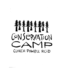

 $\mathcal{L}^{\text{max}}_{\text{max}}$  , where  $\mathcal{L}^{\text{max}}_{\text{max}}$ 

 $\mathcal{L}(\mathcal{L}^{\mathcal{L}})$  and  $\mathcal{L}(\mathcal{L}^{\mathcal{L}})$  . The contribution of

 $\label{eq:2} \frac{1}{\sqrt{2}}\left(\frac{1}{\sqrt{2}}\right)^2\left(\frac{1}{\sqrt{2}}\right)^2\left(\frac{1}{\sqrt{2}}\right)^2\left(\frac{1}{\sqrt{2}}\right)^2\left(\frac{1}{\sqrt{2}}\right)^2.$ 

 $\mathcal{L}(\mathcal{L}^{\mathcal{L}})$  and  $\mathcal{L}^{\mathcal{L}}$  and  $\mathcal{L}^{\mathcal{L}}$  and  $\mathcal{L}^{\mathcal{L}}$ 

 $\mathcal{L}(\mathcal{L}(\mathcal{L}))$  and  $\mathcal{L}(\mathcal{L}(\mathcal{L}))$  . The contribution of  $\mathcal{L}(\mathcal{L})$ 

 $\label{eq:2.1} \frac{1}{\sqrt{2}}\int_{\mathbb{R}^3}\frac{1}{\sqrt{2}}\left(\frac{1}{\sqrt{2}}\right)^2\frac{1}{\sqrt{2}}\left(\frac{1}{\sqrt{2}}\right)^2\frac{1}{\sqrt{2}}\left(\frac{1}{\sqrt{2}}\right)^2.$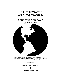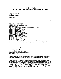# **CLINCH-POWELL RC&D COUNCIL ENVIRONMENTAL EDUCATION PROGRAM**

**Route 2, Highway 11-W P O BOX 379 RUTLEDGE, TN 37861** 

**(865) 828-5927** 

**We wish to extend sincere thanks to the following groups and individuals for their invaluable help in making the Camps possible.** 

**AppalachiaCARES / AmeriCorps Claiborne County Board of Education Claiborne County Soil Conservation District Clinch River Market Cumberland Mountain Research Center - Lincoln Memorial University East Tennessee Foundation Grainger County Ambulance Service Grainger County Board of Education Grainger County Government Grainger County Sheriff's Department Grainger County Soil Conservation District Grassy Creek Wildlife Foundation Hancock County Board of Education Hancock County Soil Conservation District Hawkins County Board of Education Hawkins County Government Hawkins County Soil Conservation District Partners for Clean Communities Regional Keep America Beautiful System Tennessee Department of Environment and Conservation - Division of Water Pollution Control Tennessee Department of Agriculture - Division of Forestry & Nonpoint Source Program Tennessee Department of Education Tennessee Highway Patrol Tennessee Litter Grant Program Tennessee Valley Authority Tennessee Wildlife Resources Agency The Nature Conservancy Union County Board of Education Union County Soil Conservation District USDA Natural Resources Conservation Services UT Extension Service** 

#### **This project is funded (in part) under an agreement with Tennessee Department of Environment and Conservation, Nonpoint Source Program and the US Environmental Protection Agency**

**"The Clinch-Powell RC&D prohibits discrimination in its programs on the basis or race color, national orig n, sex, religion, age, disabi ty, political beliefs and marital or famial status. (Not all i liprohibited biases apply to all programs). Persons with disabilities who require alternative means for communication of program information (Braille, large print, audiotape, etc.) should contact the USDA Office of Communications at (202)720-5881 (voice) or (202)720-7808 (TDD). To file a complaint, write the Secretary of Agriculture, U.S. Department of Agriculture, Washington D.C. 20250, or call (202)720-7327 (voice) or (202)720-1127 (TDD.) USDA is an equal employment opportunity employer."**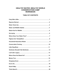### HEALTHY WATER, WEALTHY WORLD **CONSERVATION CAMP WORKBOOK**

#### **TABLE OF CONTENTS**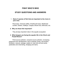### **FISHY WHO'S WHO**

# **STUDY QUESTIONS AND ANSWERS**

#### 1. **Name 5 species of fish that are important to the rivers in your area.**

Rock bass, Channel catfish, Smallmouth bass, Redbreast sunfish, Darters, Walleye, Crappie, Brook trout, Minnows, etc.

#### **2. Why are these fish important?**

They all play important roles in the aquatic ecosystem.

#### **3. What dangers are facing the aquatic life in the Clinch and Powell Rivers?**

 Point source pollution, nonpoint source pollution, increasing pressures from development, loss of riparian zones, soil erosion, fertilizers, manure, sewage, waste oil, coal mine silt and acids, pesticides and channeling, dredging and dams.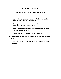### **RIPARIAN RETREAT**

# **STUDY QUESTIONS AND ANSWERS**

#### 2. **List 10 things you would expect to find in the riparian areas of the Clinch or Powell River.**

 Grass, gravel, trees, nests, scrubs, small animals, flowering plants, leaf litter, soil, water plants, etc.

#### **3. What are some other words you know that are used to describe riparian areas?**

Streambank, brush, greenway, forest, thicket, etc.

#### **3. Name 4 animals that you would expect to find in a riparian area.**

 Song birds, quail, insects, deer, different kinds of burrowing animals.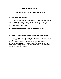### **WATER CHECK-UP**

# **STUDY QUESTIONS AND ANSWERS**

#### **1. What is water pollution?**

 Water pollution comes in many forms. A simple explanation of water pollution is any foreign substance in water that does not naturally occur there. Water pollution can be trash, pesticides, urban runoff, sediment, manure, etc.

#### **2. Name as many kinds of water pollution as you can.**

See above.

#### **3. How are aquatic invertebrates indicators of water quality?**

 Aquatic invertebrates are like any other living organism. They have physiological needs that must be met in order to survive. Many aquatic invertebrates are more tolerant of changes in their environment, making them more tolerant of pollution. Biologists who are familiar with aquatic invertebrates can assess water quality by what lives in a stream or river.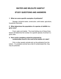### **WATER AND WILDLIFE HABITAT**

# **STUDY QUESTIONS AND ANSWERS**

#### **1. What are some specific examples of pollutants?**

Sewage, industrial waste, construction, solid waste, agriculture, household chemicals.

#### **2. What determines the population of a species of wildlife in a given area?**

 Food, water and habitat. The most limiting one of these three factors will determine the number of a specific species of animal in a given area.

#### **3. How could a predatory animal be poisoned by contaminates found in the mud at the bottom of a lake?**

 Fish or other aquatic animals pick up the pollutants from the bottom. If a predatory animal has a diet of contaminated fish, they may be poisoned.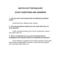### **WATCH OUT FOR WILDLIFE**

# **STUDY QUESTIONS AND ANSWERS**

#### **1. Can you list 3 avian species that are affected by polluted water?**

Great blue heron, Mallard ducks, Osprey

#### **2. How many pollution hazards can you name that harm our avian species?**

 Trash, industrial dumping, farm run-off, construction, dioxins from paper mills, etc.

#### **3. Why is it important to try to save the threatened and endangered avian species which use wetlands and marshes?**

Every creature is important to the entire ecosystem of the earth. Some control overpopulation of others, control sick and diseased prey, help keep water clean, etc.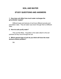### **SOIL AND WATER**

# **STUDY QUESTIONS AND ANSWERS**

#### **1. How does soil affect how much water recharges the groundwater supply?**

Different types and textures of soil have different porosity and percolation rates. They let water ooze down through them at different rates.

#### **2. How do soils purify water?**

 They act like filters. Impurities in the water attach to the soil particles as they move through the soil.

#### **3. Which general type of soil do you think will have the most serious erosion problem?**

Silt.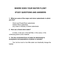### **WHERE DOES YOUR WATER FLOW?**

# **STUDY QUESTIONS AND ANSWERS**

#### **1. What are some of the major and minor watersheds in which you live?**

 Clinch and Powell River watersheds Holston River watershed Any creek or tributary of these watersheds

#### **2. How can a forest store water?**

 In trees, in the soil, in the leaf litter, in the caves, in the underlying parent (rock) material.

#### **3. Can the unchecked force of water be detrimental to ecosystems and populations of plants or animals?**

 Yes, but too much or too little water can drastically change the habitat.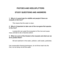### **PIGTOES AND HEELSPLITTERS**

### **STUDY QUESTIONS AND ANSWERS**

#### **1. Why is it a good sign for wildlife and people if there are mussels in the river?**

This means that the water is clean.

#### **2. Why is it important to take care of the non-game fish species in the river?**

 Loosing fish can upset the ecosystem of the river and cause many animals to die or become extinct.

#### **3. What are some of the threats to the mussels and what can we do to protect them?**

Silt and sediment in the water, pollution, solid waste, pesticides.

Use conservation farming techniques, do not throw trash into the river, do not dump oil into the water.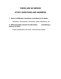### **THERE ARE NO WEEDS!**

# **STUDY QUESTIONS AND ANSWERS**

#### **1. Name 5 wildflowers sometimes considered to be weeds.**

Dandelion, Jimsonweed, Chickweed, Asters, Blackberry, etc.

#### **2. What precaution should one take before considering a plant as an herb?**

Proper identification and clean, chemical-free habitat.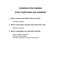### **CONSERVATION FARMING**

# **STUDY QUESTIONS AND ANSWERS**

#### **1. Name a good conservation farmer you know.**

Individual answers.

#### **2. Which conservation practices does that farmer use?**

Individual answers.

#### **3. Name 3 advantages of conservation farming.**

 Protect natural resources. Improved water quality. Can save the farmer money in the long run.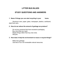# **LITTER BUG BLUES**

# **STUDY QUESTIONS AND ANSWERS**

#### **1. Name 5 things you can start recycling in your home.**

Aluminum cans, paper, glass, newspaper, plastics, cardboard, steel food cans.

#### **2. How do we reduce the amount of garbage we produce?**

 Do not buy products that have excessive packaging. Buy only what you need. Repair things rather than buy new ones. Recycle.

#### **3. How does it help the environment to reuse or recycle things?**

 Make less garbage. Use less of our non-renewable natural resources.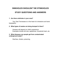### **SINKHOLES SHOULDN'T BE STINKHOLES**

# **STUDY QUESTIONS AND ANSWERS**

#### **1. Are there sinkholes in your area?**

 Yes, East Tennessee is in the heart of a limestone and karst topography.

#### **2. What types of wastes are being dumped in them?**

 Answers will depend on child's experience. Examples include old cars, appliances, household trash, etc.

#### **3. What diseases can people get from contaminated underground water?**

Diarrhea, cholera, poisoning.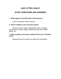# **LEAF LITTER LEGACY**

# **STUDY QUESTIONS AND ANSWERS**

#### **1. What happens to leaf litter after it decomposes?**

It turns into organic matter in the soil.

#### **2. Name 10 different uses of forest products.**

Pencils, furniture, paper, baseball bats, mulch, medicine, picture frames, houses, bridges, telephone poles, food, wildlife shelter, etc.

#### **3. Why are gullies and erosion problems hard to fix in forested areas?**

Because the land is usually very steep and inaccessible.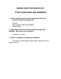### **WHERE DOES THE WASTE GO?**

### **STUDY QUESTIONS AND ANSWERS**

#### **1. Name 3 specific ways you can personally reduce the amount of trash you dispose of?**

 Recycle Buys products with less packaging Repair things

#### **2. What does rain turn into when it flows through older landfills? Why must it be controlled?**

Leachate. It is toxic.

#### **3. Why is it important to protect groundwater?**

To maintain a safe drinking water supply. Because it is the right thing to do.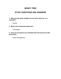### **MONEY TREE**

## **STUDY QUESTIONS AND ANSWERS**

#### **1. Why do trees grow straight up even when they are on a mountain?**

Gravity.

#### **2. What is the Tennessee state tree?**

Tulip poplar.

#### **3. How can we improve our forested land and harvest it at the same time?**

Forest management.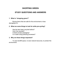### **SHOPPING GREEN**

# **STUDY QUESTIONS AND ANSWERS**

#### **1. What is "shopping green?"**

 Buying items that are safe for the environment or less damaging to it.

#### **2. What are some things to look for while pre-cycling?**

Has the item been recycled before? Can it be recycled? Is there excess packaging? Is it made using polluting processes?

#### **3. Why are these things important?**

 To save landfill space, to save natural resources, to protect the environment.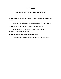## **ENVIRO IQ**

# **STUDY QUESTIONS AND ANSWERS**

#### **1. Name some common household items considered hazardous waste.**

Insect sprays, paint, oven cleaner, detergent, oil, weed killers.

#### **2. Name 5 occupations associated with agriculture.**

Forestry, trucking, processors, grocery stores, farmer, agricultural extension agent, etc.

#### **3. Name 5 ways trees help the environment.**

Shade, oxygen, erosion control, beauty, wildlife, habitat, etc.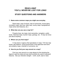### **READ A MAP YOU'LL NEVER BE LOST FOR LONG!**

### **STUDY QUESTIONS AND ANSWERS**

#### **1. Name some common maps you might use everyday.**

 Road maps, map of school, map of community, house plans, recreation maps, land use, state map, county maps, topographical maps (show land features, etc.)

#### **2. What else can you use a map for?**

Property lines, tax maps, land ownership, navigation, public lands, historical maps, tourism maps, geology, etc. A map can show just about anything.

#### **3. Where can you find maps?**

 A map store or agency that specializes in maps, TVA has map books, gas stations, county government, local agencies have land and property maps, chamber of commerce, etc.

#### **4. How do you find your way around on a map?**

Find your way around on a map always by first studying the legend to get the scale and see what symbols are used to represent features. Get your direction straight -- north, south, east or west.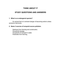# **THINK ABOUT IT**

# **STUDY QUESTIONS AND ANSWERS**

#### **1. What is an endangered species?**

 An animal that is in eminent danger of becoming extinct unless someone intervenes.

#### **2. Name 3 sources of nonpoint source pollution.**

 Sediment from farming and construction. Household sewage. Household oil dumped in water. Pesticides from farming.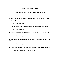### **NATURE COLLAGE**

# **STUDY QUESTIONS AND ANSWERS**

#### **1. Make up a name for each green used in your picture. What are your green names?**

Individual answers.

**2. Did you use different size leaves to create your art work?** 

Individual answers.

**3. Did you use different size leaves to create your art work?**

Individual answers.

#### **4. Name the leaves you used, including their color, shape and size.**

Individual answers.

#### **5. What can you do with your leaf art once you have made it?**

Stationery, ornaments, placemats, etc.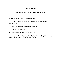### **WETLANDS**

# **STUDY QUESTIONS AND ANSWERS**

#### **1. Name 3 plants that grow in wetlands.**

Cattails, Rushes, Waterlilies, Willow tree, Sycamore tree, Cranberries.

#### **2. What are 3 names that we give wetlands?**

Marsh, bog, swamp

#### **3. Name 3 animals that live in wetlands.**

Snakes, Frogs, Salamanders, Turtles, Snails, Crayfish, Insects, Beaver, Song birds, Geese and many others.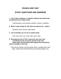## **PICNICS ARE FUN?**

# **STUDY QUESTIONS AND ANSWERS**

#### **1. List 5 major problems or negative impacts associated with recreational use of public lands.**

Litter/dumping, overcrowding, pollution, erosion, vandalism.

#### **2. What 3 major things do TVA dams provide for the public?**

Electricity, flood control, public lands.

#### **3. List 4 activities you can do on public lands.**

Fish, hunt, swim, ski, camp, hike, picnic, boat

#### **4. Recreational use of TVA's reservoirs and rivers has contributed to the economic growth of the area. Name types of businesses that support the recreational needs of people in this area.**

Commercial marinas, bait and tackle shops, campgrounds, boat sales, retail stores that sell fishing and boating supplies, etc.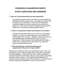# **HOUSEHOLD HAZARDOUS WASTE STUDY QUESTIONS AND ANSWERS**

#### **1. How can I buy products that are least hazardous?**

By reading the signal words on the label you can evaluate the potential risk that a product poses. No signal word means that the product is not hazardous. If there are non-hazardous products available you should choose the one that has the lowest risk – that would be Caution, followed by Warning, and Danger and Toxic being the least desirable options.

#### **2. Why is it important to follow the directions on the label?**

Following the directions allows you to avoid any unnecessary dangers. A product may be dangerous to your health if the concentrations are very high. Therefore, using the product in a well ventilated area will substantially lower your risk of becoming ill. Other products may be extremely flammable, in which case, excessive heat or open flame may cause the product to ignite spontaneously.

#### **3. Why should these materials be disposed of properly when they are no longer useful?**

Hazardous household products can contaminate the air, water, and soil that they touch if they are simply thrown away with your regular household garbage. Products that are toxic, reactive, ignitable, or corrosive should be stored safely until your county hosts a household hazardous waste roundup. The materials will be gathered by a company that can safely dispose of the materials in a way that will not allow the hazardous constituents to reach the environment.